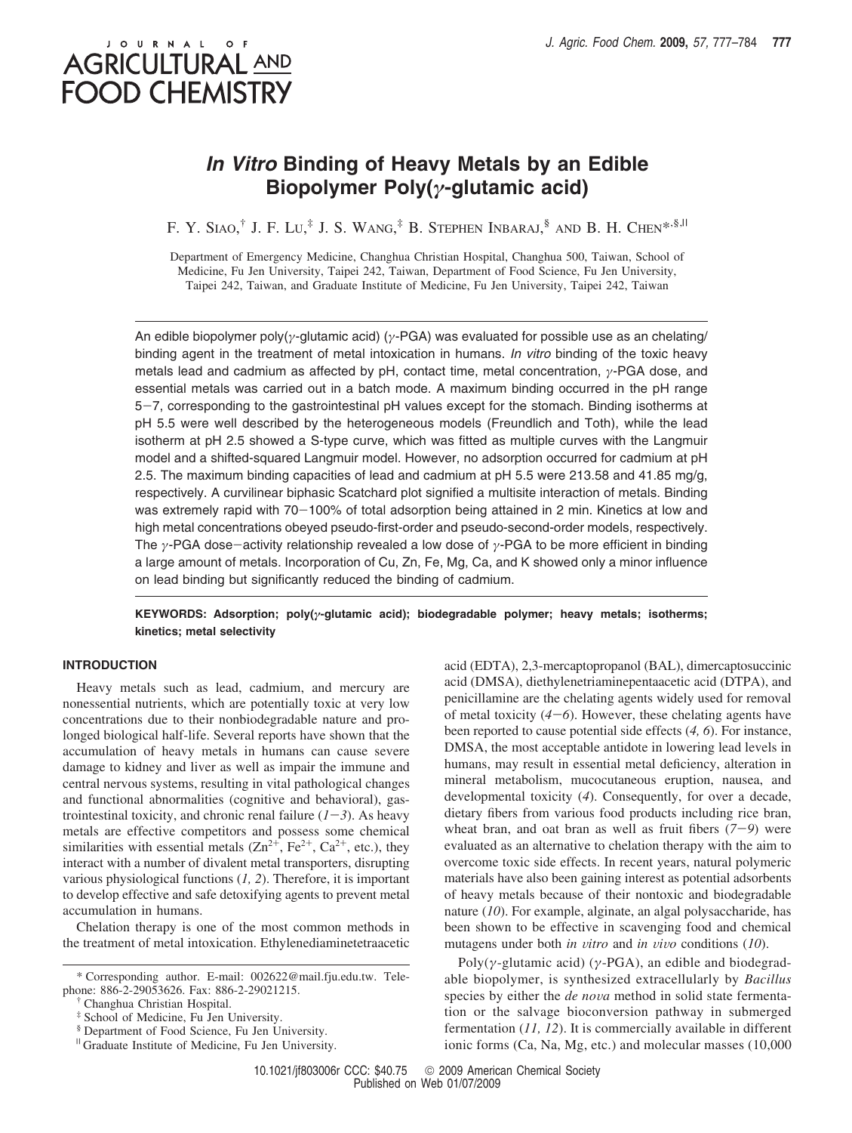# JOURNAL OF AGRICULTURAL AND **FOOD CHEMISTRY**

## *In Vitro* **Binding of Heavy Metals by an Edible Biopolymer Poly(***γ***-glutamic acid)**

F. Y. SIAO,<sup>†</sup> J. F. Lu,<sup>‡</sup> J. S. Wang,<sup>‡</sup> B. Stephen Inbarai,<sup>§</sup> and B. H. Chen\*<sup>,§,||</sup>

Department of Emergency Medicine, Changhua Christian Hospital, Changhua 500, Taiwan, School of Medicine, Fu Jen University, Taipei 242, Taiwan, Department of Food Science, Fu Jen University, Taipei 242, Taiwan, and Graduate Institute of Medicine, Fu Jen University, Taipei 242, Taiwan

An edible biopolymer poly(*γ*-glutamic acid) (*γ*-PGA) was evaluated for possible use as an chelating/ binding agent in the treatment of metal intoxication in humans. *In vitro* binding of the toxic heavy metals lead and cadmium as affected by pH, contact time, metal concentration, *γ*-PGA dose, and essential metals was carried out in a batch mode. A maximum binding occurred in the pH range <sup>5</sup>-7, corresponding to the gastrointestinal pH values except for the stomach. Binding isotherms at pH 5.5 were well described by the heterogeneous models (Freundlich and Toth), while the lead isotherm at pH 2.5 showed a S-type curve, which was fitted as multiple curves with the Langmuir model and a shifted-squared Langmuir model. However, no adsorption occurred for cadmium at pH 2.5. The maximum binding capacities of lead and cadmium at pH 5.5 were 213.58 and 41.85 mg/g, respectively. A curvilinear biphasic Scatchard plot signified a multisite interaction of metals. Binding was extremely rapid with 70-100% of total adsorption being attained in 2 min. Kinetics at low and high metal concentrations obeyed pseudo-first-order and pseudo-second-order models, respectively. The *<sup>γ</sup>*-PGA dose-activity relationship revealed a low dose of *<sup>γ</sup>*-PGA to be more efficient in binding a large amount of metals. Incorporation of Cu, Zn, Fe, Mg, Ca, and K showed only a minor influence on lead binding but significantly reduced the binding of cadmium.

**KEYWORDS: Adsorption; poly(***γ***-glutamic acid); biodegradable polymer; heavy metals; isotherms; kinetics; metal selectivity**

### **INTRODUCTION**

Heavy metals such as lead, cadmium, and mercury are nonessential nutrients, which are potentially toxic at very low concentrations due to their nonbiodegradable nature and prolonged biological half-life. Several reports have shown that the accumulation of heavy metals in humans can cause severe damage to kidney and liver as well as impair the immune and central nervous systems, resulting in vital pathological changes and functional abnormalities (cognitive and behavioral), gastrointestinal toxicity, and chronic renal failure  $(1-3)$ . As heavy metals are effective competitors and possess some chemical similarities with essential metals  $(Zn^{2+}, Fe^{2+}, Ca^{2+}, etc.),$  they interact with a number of divalent metal transporters, disrupting various physiological functions (*1, 2*). Therefore, it is important to develop effective and safe detoxifying agents to prevent metal accumulation in humans.

Chelation therapy is one of the most common methods in the treatment of metal intoxication. Ethylenediaminetetraacetic acid (EDTA), 2,3-mercaptopropanol (BAL), dimercaptosuccinic acid (DMSA), diethylenetriaminepentaacetic acid (DTPA), and penicillamine are the chelating agents widely used for removal of metal toxicity  $(4-6)$ . However, these chelating agents have been reported to cause potential side effects (*4, 6*). For instance, DMSA, the most acceptable antidote in lowering lead levels in humans, may result in essential metal deficiency, alteration in mineral metabolism, mucocutaneous eruption, nausea, and developmental toxicity (*4*). Consequently, for over a decade, dietary fibers from various food products including rice bran, wheat bran, and oat bran as well as fruit fibers  $(7-9)$  were evaluated as an alternative to chelation therapy with the aim to overcome toxic side effects. In recent years, natural polymeric materials have also been gaining interest as potential adsorbents of heavy metals because of their nontoxic and biodegradable nature (*10*). For example, alginate, an algal polysaccharide, has been shown to be effective in scavenging food and chemical mutagens under both *in vitro* and *in vivo* conditions (10).

Poly(*γ*-glutamic acid) (*γ*-PGA), an edible and biodegradable biopolymer, is synthesized extracellularly by *Bacillus* species by either the *de nova* method in solid state fermentation or the salvage bioconversion pathway in submerged fermentation (*11, 12*). It is commercially available in different ionic forms (Ca, Na, Mg, etc.) and molecular masses (10,000

<sup>\*</sup> Corresponding author. E-mail: 002622@mail.fju.edu.tw. Telephone: 886-2-29053626. Fax: 886-2-29021215.

<sup>†</sup> Changhua Christian Hospital.

<sup>‡</sup> School of Medicine, Fu Jen University.

<sup>§</sup> Department of Food Science, Fu Jen University.

<sup>|</sup> Graduate Institute of Medicine, Fu Jen University.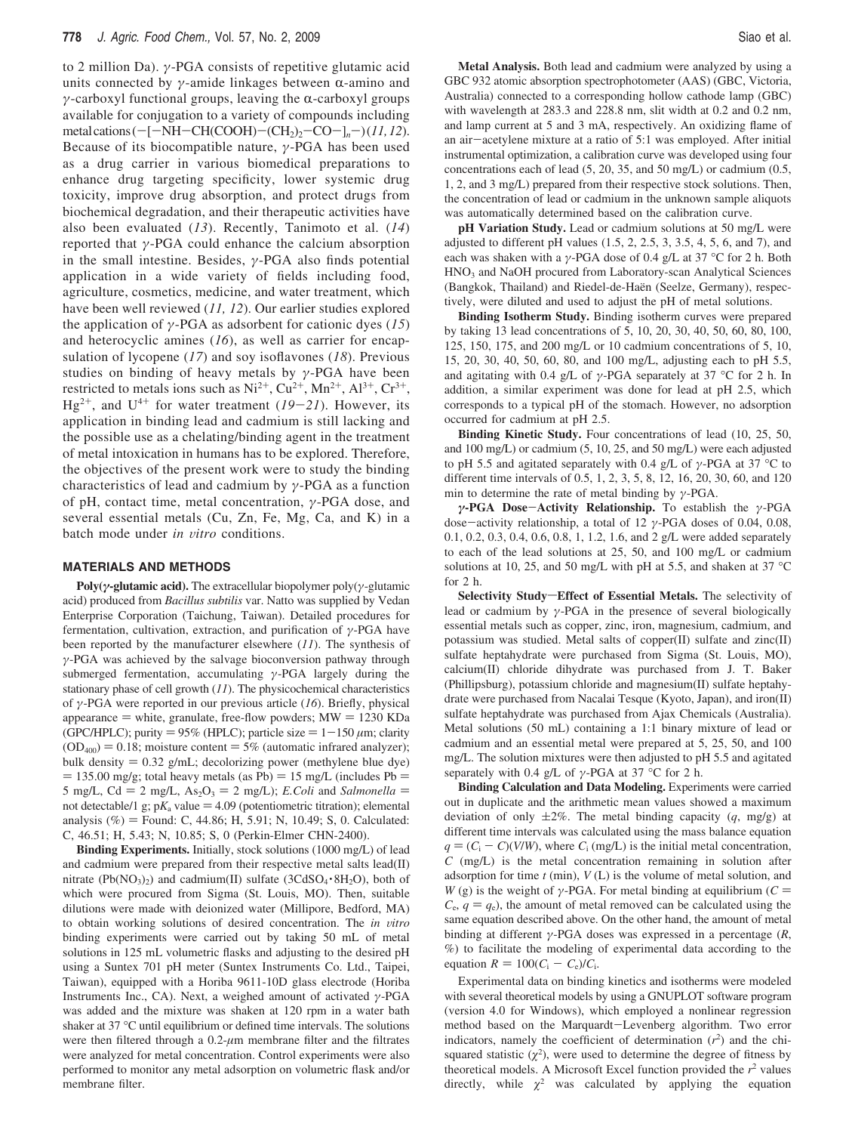to 2 million Da). *γ*-PGA consists of repetitive glutamic acid units connected by *γ*-amide linkages between  $α$ -amino and  $γ$ -carboxyl functional groups, leaving the  $α$ -carboxyl groups available for conjugation to a variety of compounds including metalcations(-[-NH-CH(COOH)-(CH2)2-CO-]*<sup>n</sup>*-)(*11,12*). Because of its biocompatible nature, *γ*-PGA has been used as a drug carrier in various biomedical preparations to enhance drug targeting specificity, lower systemic drug toxicity, improve drug absorption, and protect drugs from biochemical degradation, and their therapeutic activities have also been evaluated (*13*). Recently, Tanimoto et al. (*14*) reported that *γ*-PGA could enhance the calcium absorption in the small intestine. Besides, *γ*-PGA also finds potential application in a wide variety of fields including food, agriculture, cosmetics, medicine, and water treatment, which have been well reviewed (*11, 12*). Our earlier studies explored the application of *γ*-PGA as adsorbent for cationic dyes (*15*) and heterocyclic amines (*16*), as well as carrier for encapsulation of lycopene (*17*) and soy isoflavones (*18*). Previous studies on binding of heavy metals by *γ*-PGA have been restricted to metals ions such as  $Ni^{2+}$ ,  $Cu^{2+}$ ,  $Mn^{2+}$ ,  $Al^{3+}$ ,  $Cr^{3+}$ ,  $Hg^{2+}$ , and  $U^{4+}$  for water treatment (19–21). However, its application in binding lead and cadmium is still lacking and the possible use as a chelating/binding agent in the treatment of metal intoxication in humans has to be explored. Therefore, the objectives of the present work were to study the binding characteristics of lead and cadmium by *γ*-PGA as a function of pH, contact time, metal concentration, *γ*-PGA dose, and several essential metals (Cu, Zn, Fe, Mg, Ca, and K) in a batch mode under *in vitro* conditions.

#### **MATERIALS AND METHODS**

**Poly(***γ***-glutamic acid).** The extracellular biopolymer poly(*γ*-glutamic acid) produced from *Bacillus subtilis* var. Natto was supplied by Vedan Enterprise Corporation (Taichung, Taiwan). Detailed procedures for fermentation, cultivation, extraction, and purification of *γ*-PGA have been reported by the manufacturer elsewhere (*11*). The synthesis of *γ*-PGA was achieved by the salvage bioconversion pathway through submerged fermentation, accumulating *γ*-PGA largely during the stationary phase of cell growth (*11*). The physicochemical characteristics of *γ*-PGA were reported in our previous article (*16*). Briefly, physical appearance  $=$  white, granulate, free-flow powders;  $MW = 1230 KDa$ (GPC/HPLC); purity = 95% (HPLC); particle size =  $1-150 \mu m$ ; clarity  $(OD<sub>400</sub>) = 0.18$ ; moisture content = 5% (automatic infrared analyzer); bulk density  $= 0.32$  g/mL; decolorizing power (methylene blue dye)  $= 135.00$  mg/g; total heavy metals (as Pb)  $= 15$  mg/L (includes Pb  $=$ 5 mg/L,  $Cd = 2$  mg/L,  $As<sub>2</sub>O<sub>3</sub> = 2$  mg/L); *E.Coli* and *Salmonella* = not detectable/1 g;  $pK_a$  value = 4.09 (potentiometric titration); elemental analysis (%) = Found: C, 44.86; H, 5.91; N, 10.49; S, 0. Calculated: C, 46.51; H, 5.43; N, 10.85; S, 0 (Perkin-Elmer CHN-2400).

**Binding Experiments.** Initially, stock solutions (1000 mg/L) of lead and cadmium were prepared from their respective metal salts lead(II) nitrate  $(Pb(NO<sub>3</sub>)<sub>2</sub>)$  and cadmium(II) sulfate  $(3CdSO<sub>4</sub>·8H<sub>2</sub>O)$ , both of which were procured from Sigma (St. Louis, MO). Then, suitable dilutions were made with deionized water (Millipore, Bedford, MA) to obtain working solutions of desired concentration. The *in vitro* binding experiments were carried out by taking 50 mL of metal solutions in 125 mL volumetric flasks and adjusting to the desired pH using a Suntex 701 pH meter (Suntex Instruments Co. Ltd., Taipei, Taiwan), equipped with a Horiba 9611-10D glass electrode (Horiba Instruments Inc., CA). Next, a weighed amount of activated *γ*-PGA was added and the mixture was shaken at 120 rpm in a water bath shaker at 37 °C until equilibrium or defined time intervals. The solutions were then filtered through a  $0.2-\mu m$  membrane filter and the filtrates were analyzed for metal concentration. Control experiments were also performed to monitor any metal adsorption on volumetric flask and/or membrane filter.

**Metal Analysis.** Both lead and cadmium were analyzed by using a GBC 932 atomic absorption spectrophotometer (AAS) (GBC, Victoria, Australia) connected to a corresponding hollow cathode lamp (GBC) with wavelength at 283.3 and 228.8 nm, slit width at 0.2 and 0.2 nm, and lamp current at 5 and 3 mA, respectively. An oxidizing flame of an air-acetylene mixture at a ratio of 5:1 was employed. After initial instrumental optimization, a calibration curve was developed using four concentrations each of lead (5, 20, 35, and 50 mg/L) or cadmium (0.5, 1, 2, and 3 mg/L) prepared from their respective stock solutions. Then, the concentration of lead or cadmium in the unknown sample aliquots was automatically determined based on the calibration curve.

**pH Variation Study.** Lead or cadmium solutions at 50 mg/L were adjusted to different pH values (1.5, 2, 2.5, 3, 3.5, 4, 5, 6, and 7), and each was shaken with a *γ*-PGA dose of 0.4 g/L at 37 °C for 2 h. Both HNO<sub>3</sub> and NaOH procured from Laboratory-scan Analytical Sciences (Bangkok, Thailand) and Riedel-de-Haën (Seelze, Germany), respectively, were diluted and used to adjust the pH of metal solutions.

**Binding Isotherm Study.** Binding isotherm curves were prepared by taking 13 lead concentrations of 5, 10, 20, 30, 40, 50, 60, 80, 100, 125, 150, 175, and 200 mg/L or 10 cadmium concentrations of 5, 10, 15, 20, 30, 40, 50, 60, 80, and 100 mg/L, adjusting each to pH 5.5, and agitating with 0.4 g/L of *γ*-PGA separately at 37 °C for 2 h. In addition, a similar experiment was done for lead at pH 2.5, which corresponds to a typical pH of the stomach. However, no adsorption occurred for cadmium at pH 2.5.

**Binding Kinetic Study.** Four concentrations of lead (10, 25, 50, and 100 mg/L) or cadmium (5, 10, 25, and 50 mg/L) were each adjusted to pH 5.5 and agitated separately with 0.4 g/L of *γ*-PGA at 37 °C to different time intervals of 0.5, 1, 2, 3, 5, 8, 12, 16, 20, 30, 60, and 120 min to determine the rate of metal binding by *γ*-PGA.

*<sup>γ</sup>***-PGA Dose**-**Activity Relationship.** To establish the *<sup>γ</sup>*-PGA dose-activity relationship, a total of 12 *<sup>γ</sup>*-PGA doses of 0.04, 0.08, 0.1, 0.2, 0.3, 0.4, 0.6, 0.8, 1, 1.2, 1.6, and 2 g/L were added separately to each of the lead solutions at 25, 50, and 100 mg/L or cadmium solutions at 10, 25, and 50 mg/L with pH at 5.5, and shaken at 37 °C for 2 h.

Selectivity Study-Effect of Essential Metals. The selectivity of lead or cadmium by *γ*-PGA in the presence of several biologically essential metals such as copper, zinc, iron, magnesium, cadmium, and potassium was studied. Metal salts of copper(II) sulfate and zinc(II) sulfate heptahydrate were purchased from Sigma (St. Louis, MO), calcium(II) chloride dihydrate was purchased from J. T. Baker (Phillipsburg), potassium chloride and magnesium(II) sulfate heptahydrate were purchased from Nacalai Tesque (Kyoto, Japan), and iron(II) sulfate heptahydrate was purchased from Ajax Chemicals (Australia). Metal solutions (50 mL) containing a 1:1 binary mixture of lead or cadmium and an essential metal were prepared at 5, 25, 50, and 100 mg/L. The solution mixtures were then adjusted to pH 5.5 and agitated separately with 0.4 g/L of  $\gamma$ -PGA at 37 °C for 2 h.

**Binding Calculation and Data Modeling.** Experiments were carried out in duplicate and the arithmetic mean values showed a maximum deviation of only  $\pm 2\%$ . The metal binding capacity (*q*, mg/g) at different time intervals was calculated using the mass balance equation  $q = (C_i - C)(V/W)$ , where  $C_i$  (mg/L) is the initial metal concentration, *C* (mg/L) is the metal concentration remaining in solution after adsorption for time *t* (min), *V* (L) is the volume of metal solution, and *W* (g) is the weight of *γ*-PGA. For metal binding at equilibrium ( $C =$  $C_e$ ,  $q = q_e$ ), the amount of metal removed can be calculated using the same equation described above. On the other hand, the amount of metal binding at different *γ*-PGA doses was expressed in a percentage (*R*, %) to facilitate the modeling of experimental data according to the equation  $R = 100(C_i - C_e)/C_i$ .

Experimental data on binding kinetics and isotherms were modeled with several theoretical models by using a GNUPLOT software program (version 4.0 for Windows), which employed a nonlinear regression method based on the Marquardt-Levenberg algorithm. Two error indicators, namely the coefficient of determination  $(r^2)$  and the chisquared statistic  $(\chi^2)$ , were used to determine the degree of fitness by theoretical models. A Microsoft Excel function provided the  $r^2$  values directly, while  $\chi^2$  was calculated by applying the equation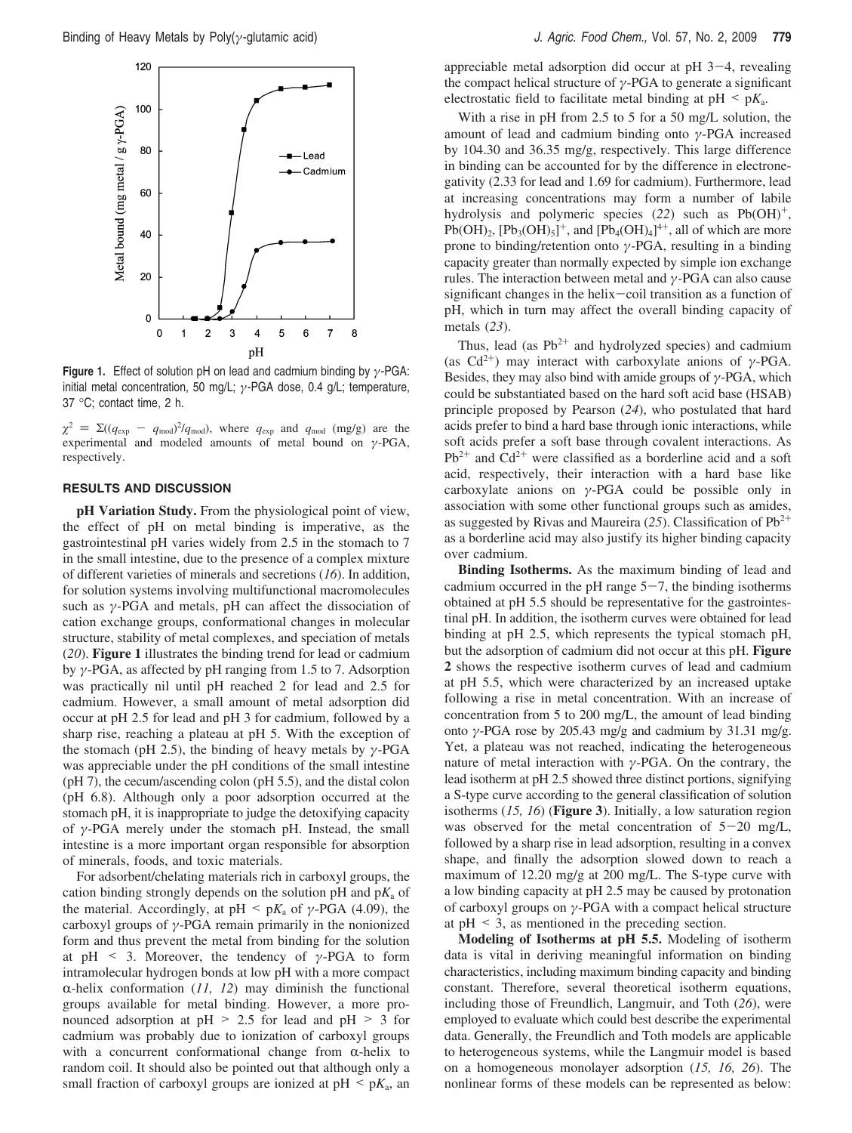

**Figure 1.** Effect of solution pH on lead and cadmium binding by *γ*-PGA: initial metal concentration, 50 mg/L; *γ*-PGA dose, 0.4 g/L; temperature, 37 °C; contact time, 2 h.

 $\chi^2 = \Sigma((q_{\rm exp} - q_{\rm mod})^2/q_{\rm mod})$ , where  $q_{\rm exp}$  and  $q_{\rm mod}$  (mg/g) are the experimental and modeled amounts of metal bound on  $\chi$ -PGA experimental and modeled amounts of metal bound on *γ*-PGA, respectively.

#### **RESULTS AND DISCUSSION**

**pH Variation Study.** From the physiological point of view, the effect of pH on metal binding is imperative, as the gastrointestinal pH varies widely from 2.5 in the stomach to 7 in the small intestine, due to the presence of a complex mixture of different varieties of minerals and secretions (*16*). In addition, for solution systems involving multifunctional macromolecules such as *γ*-PGA and metals, pH can affect the dissociation of cation exchange groups, conformational changes in molecular structure, stability of metal complexes, and speciation of metals (*20*). **Figure 1** illustrates the binding trend for lead or cadmium by *γ*-PGA, as affected by pH ranging from 1.5 to 7. Adsorption was practically nil until pH reached 2 for lead and 2.5 for cadmium. However, a small amount of metal adsorption did occur at pH 2.5 for lead and pH 3 for cadmium, followed by a sharp rise, reaching a plateau at pH 5. With the exception of the stomach (pH 2.5), the binding of heavy metals by *γ*-PGA was appreciable under the pH conditions of the small intestine (pH 7), the cecum/ascending colon (pH 5.5), and the distal colon (pH 6.8). Although only a poor adsorption occurred at the stomach pH, it is inappropriate to judge the detoxifying capacity of *γ*-PGA merely under the stomach pH. Instead, the small intestine is a more important organ responsible for absorption of minerals, foods, and toxic materials.

For adsorbent/chelating materials rich in carboxyl groups, the cation binding strongly depends on the solution  $pH$  and  $pK_a$  of the material. Accordingly, at  $pH \leq pK_a$  of  $\gamma$ -PGA (4.09), the carboxyl groups of *γ*-PGA remain primarily in the nonionized form and thus prevent the metal from binding for the solution at pH  $\leq$  3. Moreover, the tendency of  $\gamma$ -PGA to form intramolecular hydrogen bonds at low pH with a more compact  $\alpha$ -helix conformation (11, 12) may diminish the functional groups available for metal binding. However, a more pronounced adsorption at  $pH > 2.5$  for lead and  $pH > 3$  for cadmium was probably due to ionization of carboxyl groups with a concurrent conformational change from  $\alpha$ -helix to random coil. It should also be pointed out that although only a small fraction of carboxyl groups are ionized at  $pH \leq pK_a$ , an

appreciable metal adsorption did occur at pH 3-4, revealing the compact helical structure of *γ*-PGA to generate a significant electrostatic field to facilitate metal binding at  $pH \leq pK_a$ .

With a rise in pH from 2.5 to 5 for a 50 mg/L solution, the amount of lead and cadmium binding onto *γ*-PGA increased by 104.30 and 36.35 mg/g, respectively. This large difference in binding can be accounted for by the difference in electronegativity (2.33 for lead and 1.69 for cadmium). Furthermore, lead at increasing concentrations may form a number of labile hydrolysis and polymeric species (22) such as Pb(OH)<sup>+</sup>,  $Pb(OH)_2$ ,  $[Pb_3(OH)_5]^+$ , and  $[Pb_4(OH)_4]^{4+}$ , all of which are more prone to binding/retention onto *γ*-PGA, resulting in a binding capacity greater than normally expected by simple ion exchange rules. The interaction between metal and *γ*-PGA can also cause significant changes in the helix-coil transition as a function of pH, which in turn may affect the overall binding capacity of metals (*23*).

Thus, lead (as  $Pb^{2+}$  and hydrolyzed species) and cadmium (as  $Cd^{2+}$ ) may interact with carboxylate anions of *γ*-PGA. Besides, they may also bind with amide groups of *γ*-PGA, which could be substantiated based on the hard soft acid base (HSAB) principle proposed by Pearson (*24*), who postulated that hard acids prefer to bind a hard base through ionic interactions, while soft acids prefer a soft base through covalent interactions. As  $Pb^{2+}$  and  $Cd^{2+}$  were classified as a borderline acid and a soft acid, respectively, their interaction with a hard base like carboxylate anions on *γ*-PGA could be possible only in association with some other functional groups such as amides, as suggested by Rivas and Maureira (*25*). Classification of Pb2+ as a borderline acid may also justify its higher binding capacity over cadmium.

**Binding Isotherms.** As the maximum binding of lead and cadmium occurred in the pH range  $5-7$ , the binding isotherms obtained at pH 5.5 should be representative for the gastrointestinal pH. In addition, the isotherm curves were obtained for lead binding at pH 2.5, which represents the typical stomach pH, but the adsorption of cadmium did not occur at this pH. **Figure 2** shows the respective isotherm curves of lead and cadmium at pH 5.5, which were characterized by an increased uptake following a rise in metal concentration. With an increase of concentration from 5 to 200 mg/L, the amount of lead binding onto *γ*-PGA rose by 205.43 mg/g and cadmium by 31.31 mg/g. Yet, a plateau was not reached, indicating the heterogeneous nature of metal interaction with *γ*-PGA. On the contrary, the lead isotherm at pH 2.5 showed three distinct portions, signifying a S-type curve according to the general classification of solution isotherms (*15, 16*) (**Figure 3**). Initially, a low saturation region was observed for the metal concentration of  $5-20$  mg/L, followed by a sharp rise in lead adsorption, resulting in a convex shape, and finally the adsorption slowed down to reach a maximum of 12.20 mg/g at 200 mg/L. The S-type curve with a low binding capacity at pH 2.5 may be caused by protonation of carboxyl groups on *γ*-PGA with a compact helical structure at  $pH \leq 3$ , as mentioned in the preceding section.

**Modeling of Isotherms at pH 5.5.** Modeling of isotherm data is vital in deriving meaningful information on binding characteristics, including maximum binding capacity and binding constant. Therefore, several theoretical isotherm equations, including those of Freundlich, Langmuir, and Toth (*26*), were employed to evaluate which could best describe the experimental data. Generally, the Freundlich and Toth models are applicable to heterogeneous systems, while the Langmuir model is based on a homogeneous monolayer adsorption (*15, 16, 26*). The nonlinear forms of these models can be represented as below: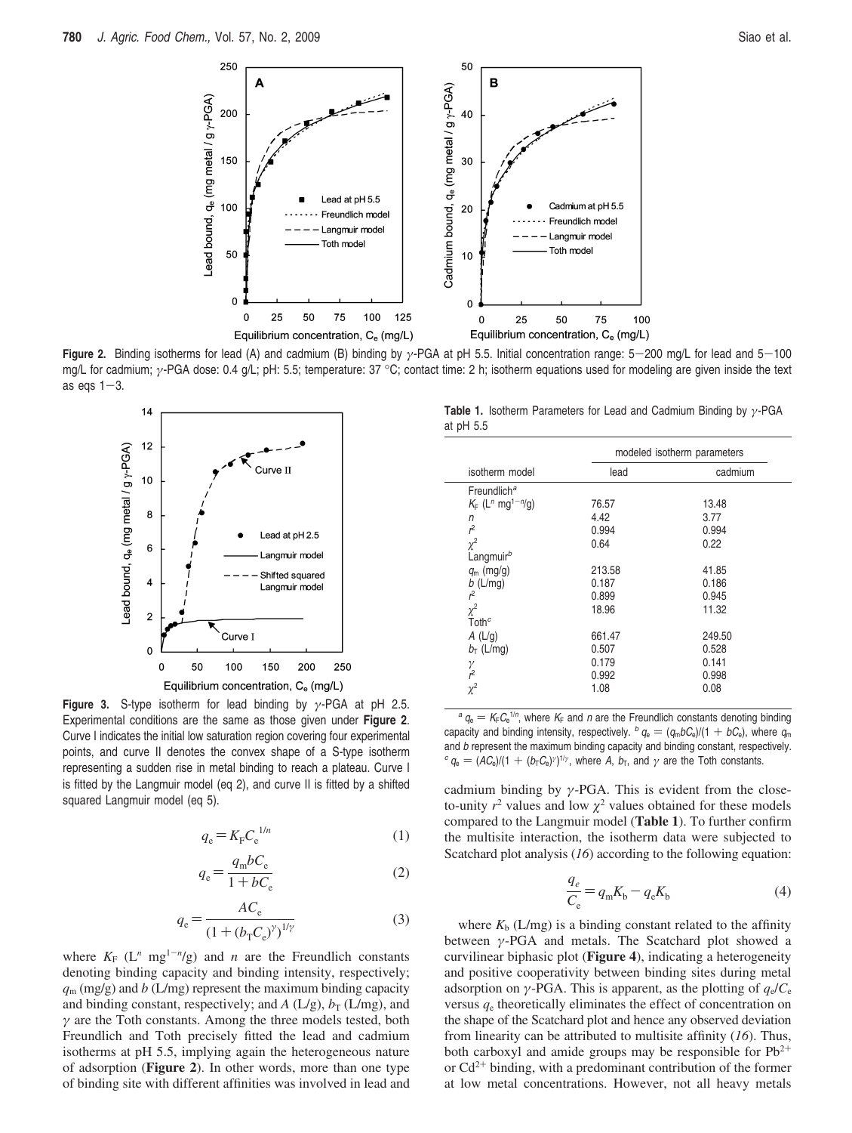

**Figure 2.** Binding isotherms for lead (A) and cadmium (B) binding by *<sup>γ</sup>*-PGA at pH 5.5. Initial concentration range: 5-200 mg/L for lead and 5-<sup>100</sup> mg/L for cadmium; *γ*-PGA dose: 0.4 g/L; pH: 5.5; temperature: 37 °C; contact time: 2 h; isotherm equations used for modeling are given inside the text as eqs  $1-3$ .



**Figure 3.** S-type isotherm for lead binding by *γ*-PGA at pH 2.5. Experimental conditions are the same as those given under **Figure 2**. Curve I indicates the initial low saturation region covering four experimental points, and curve II denotes the convex shape of a S-type isotherm representing a sudden rise in metal binding to reach a plateau. Curve I is fitted by the Langmuir model (eq 2), and curve II is fitted by a shifted squared Langmuir model (eq 5).

$$
q_{\rm e} = K_{\rm F} C_{\rm e}^{\ 1/n} \tag{1}
$$

$$
q_{\rm e} = \frac{q_{\rm m}bC_{\rm e}}{1 + bC_{\rm e}}\tag{2}
$$

$$
q_{e} = \frac{AC_{e}}{(1 + (b_{T}C_{e})^{\gamma})^{1/\gamma}}
$$
(3)

where  $K_F$  (L<sup>n</sup> mg<sup>1-n</sup>/g) and *n* are the Freundlich constants denoting binding capacity and binding intensity, respectively;  $q_m$  (mg/g) and *b* (L/mg) represent the maximum binding capacity and binding constant, respectively; and  $A(L/g)$ ,  $b_T(L/mg)$ , and *γ* are the Toth constants. Among the three models tested, both Freundlich and Toth precisely fitted the lead and cadmium isotherms at pH 5.5, implying again the heterogeneous nature of adsorption (**Figure 2**). In other words, more than one type of binding site with different affinities was involved in lead and

**Table 1.** Isotherm Parameters for Lead and Cadmium Binding by *γ*-PGA at pH 5.5

|                                             | modeled isotherm parameters |         |  |  |
|---------------------------------------------|-----------------------------|---------|--|--|
| isotherm model                              | lead                        | cadmium |  |  |
| Freundlich <sup>a</sup>                     |                             |         |  |  |
| $K_F$ (L <sup>n</sup> mg <sup>1-n</sup> /g) | 76.57                       | 13.48   |  |  |
| n                                           | 4.42                        | 3.77    |  |  |
| $r^2$                                       | 0.994                       | 0.994   |  |  |
| $\chi^2$                                    | 0.64                        | 0.22    |  |  |
| Langmuir <sup>b</sup>                       |                             |         |  |  |
| $q_m$ (mg/g)                                | 213.58                      | 41.85   |  |  |
| $b$ (L/mg)                                  | 0.187                       | 0.186   |  |  |
| $r^2$                                       | 0.899                       | 0.945   |  |  |
| $\chi^2$                                    | 18.96                       | 11.32   |  |  |
| Toth <sup>c</sup>                           |                             |         |  |  |
| A(L/g)                                      | 661.47                      | 249.50  |  |  |
| $b_T$ (L/mg)                                | 0.507                       | 0.528   |  |  |
|                                             | 0.179                       | 0.141   |  |  |
| $\frac{\gamma}{l^2}$                        | 0.992                       | 0.998   |  |  |
| $\chi^2$                                    | 1.08                        | 0.08    |  |  |

*a*  $q_e = K_F C_e^{1/n}$ , where  $K_F$  and *n* are the Freundlich constants denoting binding<br>pacity and binding intensity respectively  $\frac{b}{n} = (a \cdot bC)(1 + bC)$ , where *n* capacity and binding intensity, respectively.  $^b q_e = (q_m b C_e)/(1 + b C_e)$ , where  $q_m$ and *b* represent the maximum binding capacity and binding constant, respectively.  $c^c q_e = (AC_e)/(1 + (b_\text{T}C_e)^\gamma)^{1/\gamma}$ , where *A*, *b*<sub>T</sub>, and  $\gamma$  are the Toth constants.

cadmium binding by *γ*-PGA. This is evident from the closeto-unity  $r^2$  values and low  $\chi^2$  values obtained for these models compared to the Langmuir model (**Table 1**). To further confirm the multisite interaction, the isotherm data were subjected to Scatchard plot analysis (*16*) according to the following equation:

$$
\frac{q_e}{C_e} = q_m K_b - q_e K_b \tag{4}
$$

where  $K_b$  (L/mg) is a binding constant related to the affinity between *γ*-PGA and metals. The Scatchard plot showed a curvilinear biphasic plot (**Figure 4**), indicating a heterogeneity and positive cooperativity between binding sites during metal adsorption on *γ*-PGA. This is apparent, as the plotting of  $q_e/C_e$ versus  $q_e$  theoretically eliminates the effect of concentration on the shape of the Scatchard plot and hence any observed deviation from linearity can be attributed to multisite affinity (*16*). Thus, both carboxyl and amide groups may be responsible for  $Pb^{2+}$ or  $Cd^{2+}$  binding, with a predominant contribution of the former at low metal concentrations. However, not all heavy metals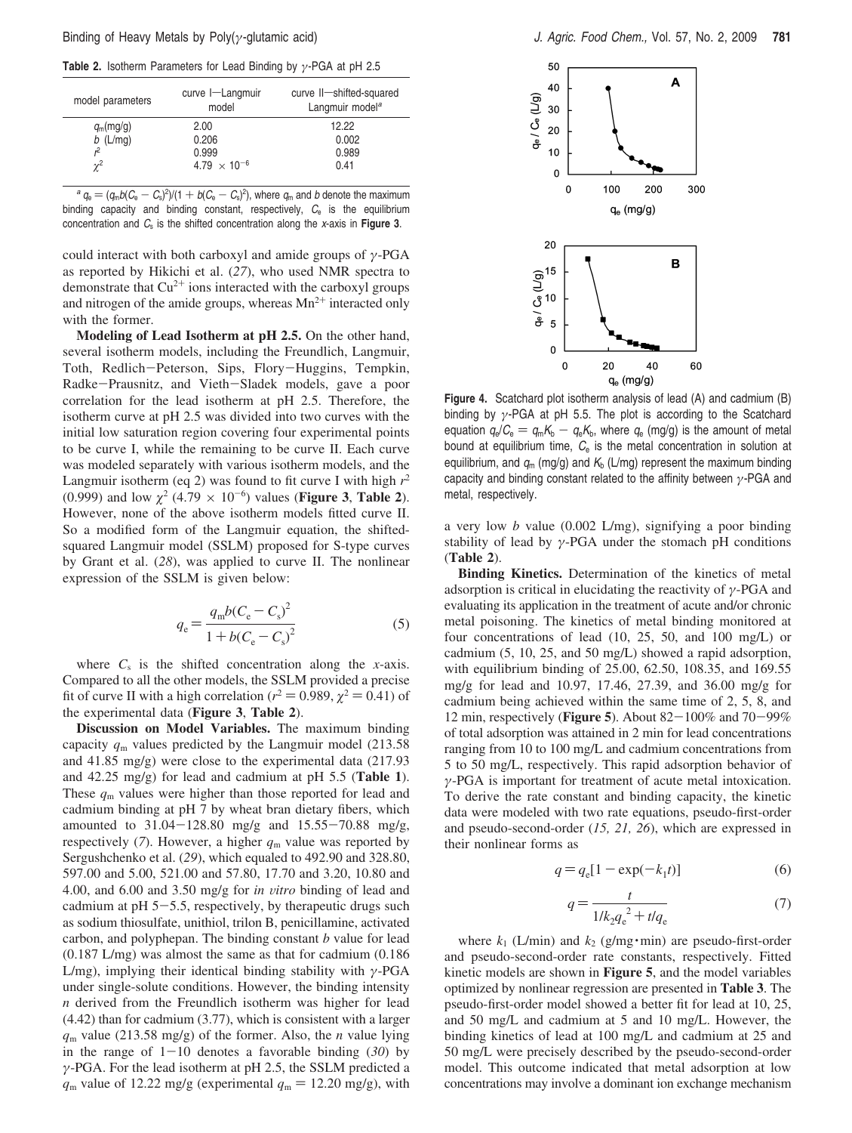**Table 2.** Isotherm Parameters for Lead Binding by *γ*-PGA at pH 2.5

| model parameters | curve I-Langmuir<br>model      | curve II-shifted-squared<br>Langmuir model <sup>a</sup> |  |  |
|------------------|--------------------------------|---------------------------------------------------------|--|--|
| $q_m(mq/q)$      | 2.00                           | 12.22                                                   |  |  |
| $b$ (L/mg)       | 0.206                          | 0.002                                                   |  |  |
|                  | 0.999                          | 0.989                                                   |  |  |
| $\gamma^2$       | 4.79 $\times$ 10 <sup>-6</sup> | 0.41                                                    |  |  |

 $a$   $q_e = (q_m b(C_e - C_s)^2)/(1 + b(C_e - C_s)^2)$ , where  $q_m$  and *b* denote the maximum<br>ding canacity and binding constant respectively. C is the equilibrium binding capacity and binding constant, respectively, *C*<sup>e</sup> is the equilibrium concentration and *C*<sup>s</sup> is the shifted concentration along the *x*-axis in **Figure 3**.

could interact with both carboxyl and amide groups of *γ*-PGA as reported by Hikichi et al. (*27*), who used NMR spectra to demonstrate that  $Cu^{2+}$  ions interacted with the carboxyl groups and nitrogen of the amide groups, whereas  $Mn^{2+}$  interacted only with the former.

**Modeling of Lead Isotherm at pH 2.5.** On the other hand, several isotherm models, including the Freundlich, Langmuir, Toth, Redlich-Peterson, Sips, Flory-Huggins, Tempkin, Radke-Prausnitz, and Vieth-Sladek models, gave a poor correlation for the lead isotherm at pH 2.5. Therefore, the isotherm curve at pH 2.5 was divided into two curves with the initial low saturation region covering four experimental points to be curve I, while the remaining to be curve II. Each curve was modeled separately with various isotherm models, and the Langmuir isotherm (eq 2) was found to fit curve I with high  $r^2$  $(0.999)$  and low  $\chi^2$  (4.79  $\times$  10<sup>-6</sup>) values (**Figure 3, Table 2**). However, none of the above isotherm models fitted curve II. So a modified form of the Langmuir equation, the shiftedsquared Langmuir model (SSLM) proposed for S-type curves by Grant et al. (*28*), was applied to curve II. The nonlinear expression of the SSLM is given below:

$$
q_{\rm e} = \frac{q_{\rm m}b(C_{\rm e} - C_{\rm s})^2}{1 + b(C_{\rm e} - C_{\rm s})^2} \tag{5}
$$

where  $C_s$  is the shifted concentration along the *x*-axis. Compared to all the other models, the SSLM provided a precise fit of curve II with a high correlation  $(r^2 = 0.989, \chi^2 = 0.41)$  of<br>the experimental data (**Figure 3, Table 2**) the experimental data (**Figure 3**, **Table 2**).

**Discussion on Model Variables.** The maximum binding capacity *q*<sup>m</sup> values predicted by the Langmuir model (213.58 and 41.85 mg/g) were close to the experimental data (217.93 and 42.25 mg/g) for lead and cadmium at pH 5.5 (**Table 1**). These  $q_m$  values were higher than those reported for lead and cadmium binding at pH 7 by wheat bran dietary fibers, which amounted to  $31.04 - 128.80$  mg/g and  $15.55 - 70.88$  mg/g, respectively (7). However, a higher  $q_m$  value was reported by Sergushchenko et al. (*29*), which equaled to 492.90 and 328.80, 597.00 and 5.00, 521.00 and 57.80, 17.70 and 3.20, 10.80 and 4.00, and 6.00 and 3.50 mg/g for *in vitro* binding of lead and cadmium at  $pH$  5-5.5, respectively, by the rapeutic drugs such as sodium thiosulfate, unithiol, trilon B, penicillamine, activated carbon, and polyphepan. The binding constant *b* value for lead (0.187 L/mg) was almost the same as that for cadmium (0.186 L/mg), implying their identical binding stability with *γ*-PGA under single-solute conditions. However, the binding intensity *n* derived from the Freundlich isotherm was higher for lead (4.42) than for cadmium (3.77), which is consistent with a larger *q*<sup>m</sup> value (213.58 mg/g) of the former. Also, the *n* value lying in the range of  $1-10$  denotes a favorable binding  $(30)$  by *γ*-PGA. For the lead isotherm at pH 2.5, the SSLM predicted a  $q_m$  value of 12.22 mg/g (experimental  $q_m = 12.20$  mg/g), with



**Figure 4.** Scatchard plot isotherm analysis of lead (A) and cadmium (B) binding by *γ*-PGA at pH 5.5. The plot is according to the Scatchard equation  $q_e/C_e = q_mK_b - q_eK_b$ , where  $q_e$  (mg/g) is the amount of metal bound at equilibrium time, *C*<sup>e</sup> is the metal concentration in solution at equilibrium, and  $q_m$  (mg/g) and  $K_b$  (L/mg) represent the maximum binding capacity and binding constant related to the affinity between *γ*-PGA and metal, respectively.

a very low *b* value (0.002 L/mg), signifying a poor binding stability of lead by *γ*-PGA under the stomach pH conditions (**Table 2**).

**Binding Kinetics.** Determination of the kinetics of metal adsorption is critical in elucidating the reactivity of *γ*-PGA and evaluating its application in the treatment of acute and/or chronic metal poisoning. The kinetics of metal binding monitored at four concentrations of lead (10, 25, 50, and 100 mg/L) or cadmium (5, 10, 25, and 50 mg/L) showed a rapid adsorption, with equilibrium binding of 25.00, 62.50, 108.35, and 169.55 mg/g for lead and 10.97, 17.46, 27.39, and 36.00 mg/g for cadmium being achieved within the same time of 2, 5, 8, and 12 min, respectively (**Figure 5**). About 82-100% and 70-99% of total adsorption was attained in 2 min for lead concentrations ranging from 10 to 100 mg/L and cadmium concentrations from 5 to 50 mg/L, respectively. This rapid adsorption behavior of *γ*-PGA is important for treatment of acute metal intoxication. To derive the rate constant and binding capacity, the kinetic data were modeled with two rate equations, pseudo-first-order and pseudo-second-order (*15, 21, 26*), which are expressed in their nonlinear forms as

$$
q = q_e[1 - \exp(-k_1 t)]\tag{6}
$$

$$
q = \frac{t}{1/k_2 q_e^2 + t/q_e}
$$
 (7)

where  $k_1$  (L/min) and  $k_2$  (g/mg·min) are pseudo-first-order and pseudo-second-order rate constants, respectively. Fitted kinetic models are shown in **Figure 5**, and the model variables optimized by nonlinear regression are presented in **Table 3**. The pseudo-first-order model showed a better fit for lead at 10, 25, and 50 mg/L and cadmium at 5 and 10 mg/L. However, the binding kinetics of lead at 100 mg/L and cadmium at 25 and 50 mg/L were precisely described by the pseudo-second-order model. This outcome indicated that metal adsorption at low concentrations may involve a dominant ion exchange mechanism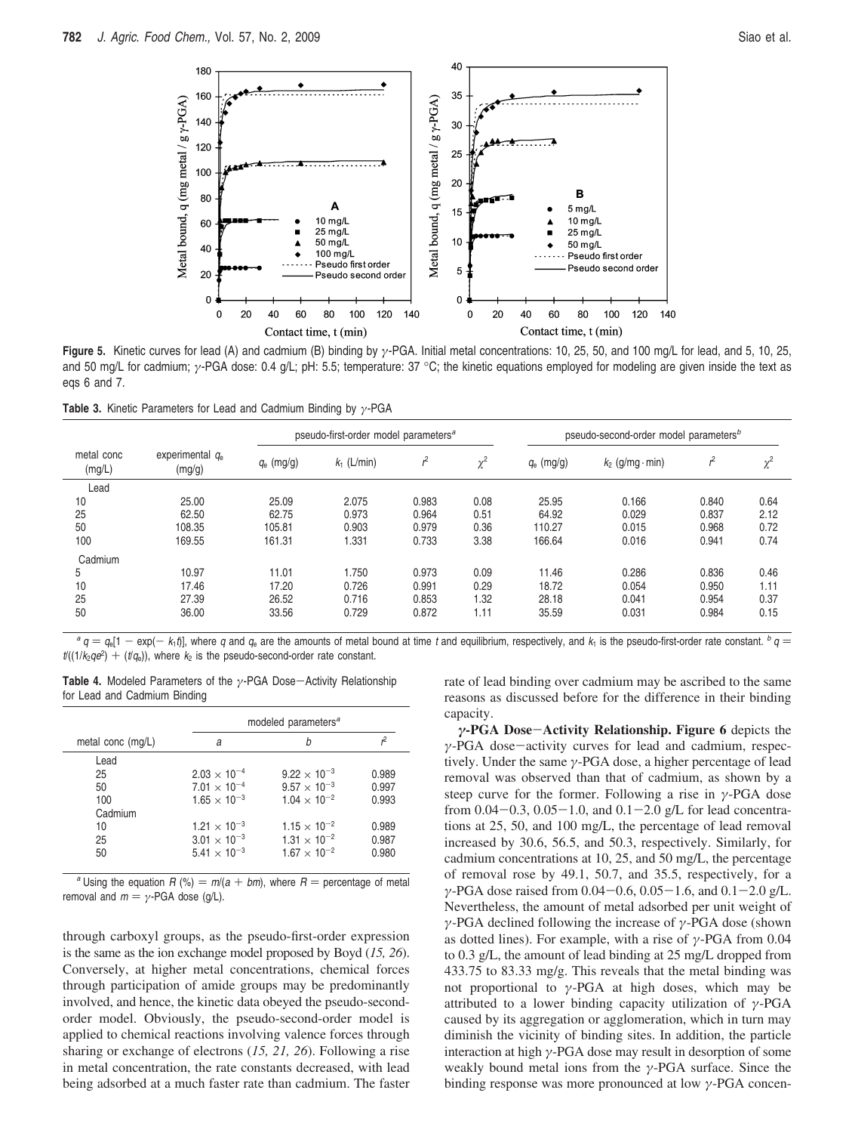

**Figure 5.** Kinetic curves for lead (A) and cadmium (B) binding by *γ*-PGA. Initial metal concentrations: 10, 25, 50, and 100 mg/L for lead, and 5, 10, 25, and 50 mg/L for cadmium; *γ*-PGA dose: 0.4 g/L; pH: 5.5; temperature: 37 °C; the kinetic equations employed for modeling are given inside the text as eqs 6 and 7.

**Table 3.** Kinetic Parameters for Lead and Cadmium Binding by *γ*-PGA

|                              | pseudo-first-order model parameters <sup>a</sup> |               |       |            | pseudo-second-order model parameters <sup>b</sup> |                    |                |          |
|------------------------------|--------------------------------------------------|---------------|-------|------------|---------------------------------------------------|--------------------|----------------|----------|
| experimental $q_e$<br>(mg/g) | $q_e$ (mg/g)                                     | $k_1$ (L/min) | 2     | $\gamma^2$ | $q_e$ (mg/g)                                      | $k_2$ (g/mg · min) | ŕ <sup>2</sup> | $\chi^2$ |
|                              |                                                  |               |       |            |                                                   |                    |                |          |
| 25.00                        | 25.09                                            | 2.075         | 0.983 | 0.08       | 25.95                                             | 0.166              | 0.840          | 0.64     |
| 62.50                        | 62.75                                            | 0.973         | 0.964 | 0.51       | 64.92                                             | 0.029              | 0.837          | 2.12     |
| 108.35                       | 105.81                                           | 0.903         | 0.979 | 0.36       | 110.27                                            | 0.015              | 0.968          | 0.72     |
| 169.55                       | 161.31                                           | 1.331         | 0.733 | 3.38       | 166.64                                            | 0.016              | 0.941          | 0.74     |
|                              |                                                  |               |       |            |                                                   |                    |                |          |
| 10.97                        | 11.01                                            | 1.750         | 0.973 | 0.09       | 11.46                                             | 0.286              | 0.836          | 0.46     |
| 17.46                        | 17.20                                            | 0.726         | 0.991 | 0.29       | 18.72                                             | 0.054              | 0.950          | 1.11     |
| 27.39                        | 26.52                                            | 0.716         | 0.853 | 1.32       | 28.18                                             | 0.041              | 0.954          | 0.37     |
| 36.00                        | 33.56                                            | 0.729         | 0.872 | 1.11       | 35.59                                             | 0.031              | 0.984          | 0.15     |
|                              |                                                  |               |       |            |                                                   |                    |                |          |

 ${}^a q = q_e[1 - \exp(-k_1\theta)]$ , where q and  $q_e$  are the amounts of metal bound at time t and equilibrium, respectively, and  $k_1$  is the pseudo-first-order rate constant.  $t/(1/k_2q e^2) + (t/q_e)$ , where  $k_2$  is the pseudo-second-order rate constant.

| <b>Table 4.</b> Modeled Parameters of the $\gamma$ -PGA Dose-Activity Relationship |
|------------------------------------------------------------------------------------|
| for Lead and Cadmium Binding                                                       |

|                   | modeled parameters <sup>a</sup> |                       |       |  |  |
|-------------------|---------------------------------|-----------------------|-------|--|--|
| metal conc (mg/L) | a                               | h                     | ŕ2    |  |  |
| Lead              |                                 |                       |       |  |  |
| 25                | $2.03 \times 10^{-4}$           | $9.22 \times 10^{-3}$ | 0.989 |  |  |
| 50                | $7.01 \times 10^{-4}$           | $9.57 \times 10^{-3}$ | 0.997 |  |  |
| 100               | $1.65 \times 10^{-3}$           | $1.04 \times 10^{-2}$ | 0.993 |  |  |
| Cadmium           |                                 |                       |       |  |  |
| 10                | $1.21 \times 10^{-3}$           | $1.15 \times 10^{-2}$ | 0.989 |  |  |
| 25                | $3.01 \times 10^{-3}$           | $1.31 \times 10^{-2}$ | 0.987 |  |  |
| 50                | $5.41 \times 10^{-3}$           | $1.67 \times 10^{-2}$ | 0.980 |  |  |

<sup>*a*</sup> Using the equation *R* (%) =  $m/(a + bm)$ , where *R* = percentage of metal removal and  $m = \gamma$ -PGA dose (g/L).

through carboxyl groups, as the pseudo-first-order expression is the same as the ion exchange model proposed by Boyd (*15, 26*). Conversely, at higher metal concentrations, chemical forces through participation of amide groups may be predominantly involved, and hence, the kinetic data obeyed the pseudo-secondorder model. Obviously, the pseudo-second-order model is applied to chemical reactions involving valence forces through sharing or exchange of electrons (*15, 21, 26*). Following a rise in metal concentration, the rate constants decreased, with lead being adsorbed at a much faster rate than cadmium. The faster

rate of lead binding over cadmium may be ascribed to the same reasons as discussed before for the difference in their binding capacity.

*<sup>γ</sup>***-PGA Dose**-**Activity Relationship. Figure 6** depicts the *γ*-PGA dose-activity curves for lead and cadmium, respectively. Under the same *γ*-PGA dose, a higher percentage of lead removal was observed than that of cadmium, as shown by a steep curve for the former. Following a rise in *γ*-PGA dose from  $0.04 - 0.3$ ,  $0.05 - 1.0$ , and  $0.1 - 2.0$  g/L for lead concentrations at 25, 50, and 100 mg/L, the percentage of lead removal increased by 30.6, 56.5, and 50.3, respectively. Similarly, for cadmium concentrations at 10, 25, and 50 mg/L, the percentage of removal rose by 49.1, 50.7, and 35.5, respectively, for a *<sup>γ</sup>*-PGA dose raised from 0.04-0.6, 0.05-1.6, and 0.1-2.0 g/L. Nevertheless, the amount of metal adsorbed per unit weight of *γ*-PGA declined following the increase of *γ*-PGA dose (shown as dotted lines). For example, with a rise of *γ*-PGA from 0.04 to 0.3 g/L, the amount of lead binding at 25 mg/L dropped from 433.75 to 83.33 mg/g. This reveals that the metal binding was not proportional to *γ*-PGA at high doses, which may be attributed to a lower binding capacity utilization of *γ*-PGA caused by its aggregation or agglomeration, which in turn may diminish the vicinity of binding sites. In addition, the particle interaction at high *γ*-PGA dose may result in desorption of some weakly bound metal ions from the *γ*-PGA surface. Since the binding response was more pronounced at low *γ*-PGA concen-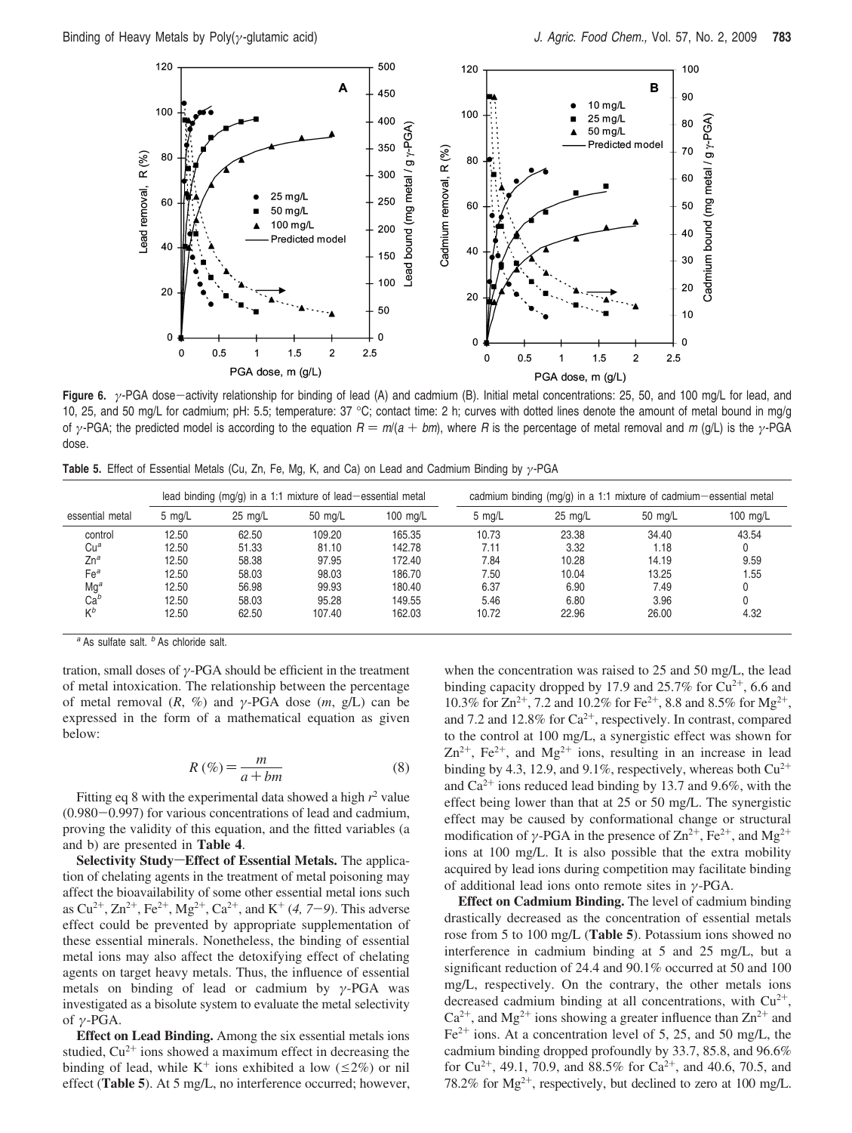

**Figure 6.** *<sup>γ</sup>*-PGA dose-activity relationship for binding of lead (A) and cadmium (B). Initial metal concentrations: 25, 50, and 100 mg/L for lead, and 10, 25, and 50 mg/L for cadmium; pH: 5.5; temperature: 37 °C; contact time: 2 h; curves with dotted lines denote the amount of metal bound in mg/g of *γ*-PGA; the predicted model is according to the equation  $R = m/(a + bm)$ , where R is the percentage of metal removal and m (g/L) is the *γ*-PGA dose.

**Table 5.** Effect of Essential Metals (Cu, Zn, Fe, Mg, K, and Ca) on Lead and Cadmium Binding by *γ*-PGA

| essential metal | lead binding $(mg/g)$ in a 1:1 mixture of lead-essential metal |                   |         | cadmium binding ( $mg/g$ ) in a 1:1 mixture of cadmium-essential metal |        |         |         |          |
|-----------------|----------------------------------------------------------------|-------------------|---------|------------------------------------------------------------------------|--------|---------|---------|----------|
|                 | $5 \text{ ma/L}$                                               | $25 \text{ ma/L}$ | 50 mg/L | 100 mg/L                                                               | 5 ma/L | 25 ma/L | 50 mg/L | 100 mg/L |
| control         | 12.50                                                          | 62.50             | 109.20  | 165.35                                                                 | 10.73  | 23.38   | 34.40   | 43.54    |
| Cu <sup>a</sup> | 12.50                                                          | 51.33             | 81.10   | 142.78                                                                 | 7.11   | 3.32    | 1.18    | 0        |
| $Zn^a$          | 12.50                                                          | 58.38             | 97.95   | 172.40                                                                 | 7.84   | 10.28   | 14.19   | 9.59     |
| Fe <sup>a</sup> | 12.50                                                          | 58.03             | 98.03   | 186.70                                                                 | 7.50   | 10.04   | 13.25   | 1.55     |
| $Mg^a$          | 12.50                                                          | 56.98             | 99.93   | 180.40                                                                 | 6.37   | 6.90    | 7.49    | 0        |
| Ca <sup>b</sup> | 12.50                                                          | 58.03             | 95.28   | 149.55                                                                 | 5.46   | 6.80    | 3.96    | 0        |
| $K^b$           | 12.50                                                          | 62.50             | 107.40  | 162.03                                                                 | 10.72  | 22.96   | 26.00   | 4.32     |

*<sup>a</sup>* As sulfate salt. *<sup>b</sup>* As chloride salt.

tration, small doses of *γ*-PGA should be efficient in the treatment of metal intoxication. The relationship between the percentage of metal removal (*R*, %) and *γ*-PGA dose (*m*, g/L) can be expressed in the form of a mathematical equation as given below:

$$
R(\%) = \frac{m}{a + bm}
$$
 (8)  
Fitting eq 8 with the experimental data showed a high *r*<sup>2</sup> value

(0.980-0.997) for various concentrations of lead and cadmium, proving the validity of this equation, and the fitted variables (a and b) are presented in **Table 4**.

**Selectivity Study-Effect of Essential Metals.** The application of chelating agents in the treatment of metal poisoning may affect the bioavailability of some other essential metal ions such as  $Cu^{2+}$ ,  $Zn^{2+}$ ,  $Fe^{2+}$ ,  $Mg^{2+}$ ,  $Ca^{2+}$ , and  $K^+$  (4, 7–9). This adverse effect could be prevented by appropriate supplementation of these essential minerals. Nonetheless, the binding of essential metal ions may also affect the detoxifying effect of chelating agents on target heavy metals. Thus, the influence of essential metals on binding of lead or cadmium by *γ*-PGA was investigated as a bisolute system to evaluate the metal selectivity of *γ*-PGA.

**Effect on Lead Binding.** Among the six essential metals ions studied,  $Cu^{2+}$  ions showed a maximum effect in decreasing the binding of lead, while  $K^+$  ions exhibited a low ( $\leq 2\%$ ) or nil effect (**Table 5**). At 5 mg/L, no interference occurred; however, when the concentration was raised to 25 and 50 mg/L, the lead binding capacity dropped by 17.9 and  $25.7\%$  for Cu<sup>2+</sup>, 6.6 and 10.3% for  $\text{Zn}^{2+}$ , 7.2 and 10.2% for Fe<sup>2+</sup>, 8.8 and 8.5% for Mg<sup>2+</sup>, and 7.2 and 12.8% for  $Ca^{2+}$ , respectively. In contrast, compared to the control at 100 mg/L, a synergistic effect was shown for  $Zn^{2+}$ , Fe<sup>2+</sup>, and Mg<sup>2+</sup> ions, resulting in an increase in lead binding by 4.3, 12.9, and 9.1%, respectively, whereas both  $Cu^{2+}$ and  $Ca^{2+}$  ions reduced lead binding by 13.7 and 9.6%, with the effect being lower than that at 25 or 50 mg/L. The synergistic effect may be caused by conformational change or structural modification of *γ*-PGA in the presence of  $Zn^{2+}$ , Fe<sup>2+</sup>, and Mg<sup>2+</sup> ions at 100 mg/L. It is also possible that the extra mobility acquired by lead ions during competition may facilitate binding of additional lead ions onto remote sites in *γ*-PGA.

**Effect on Cadmium Binding.** The level of cadmium binding drastically decreased as the concentration of essential metals rose from 5 to 100 mg/L (**Table 5**). Potassium ions showed no interference in cadmium binding at 5 and 25 mg/L, but a significant reduction of 24.4 and 90.1% occurred at 50 and 100 mg/L, respectively. On the contrary, the other metals ions decreased cadmium binding at all concentrations, with  $Cu^{2+}$ ,  $Ca^{2+}$ , and Mg<sup>2+</sup> ions showing a greater influence than  $Zn^{2+}$  and  $Fe<sup>2+</sup>$  ions. At a concentration level of 5, 25, and 50 mg/L, the cadmium binding dropped profoundly by 33.7, 85.8, and 96.6% for Cu<sup>2+</sup>, 49.1, 70.9, and 88.5% for Ca<sup>2+</sup>, and 40.6, 70.5, and 78.2% for  $Mg^{2+}$ , respectively, but declined to zero at 100 mg/L.